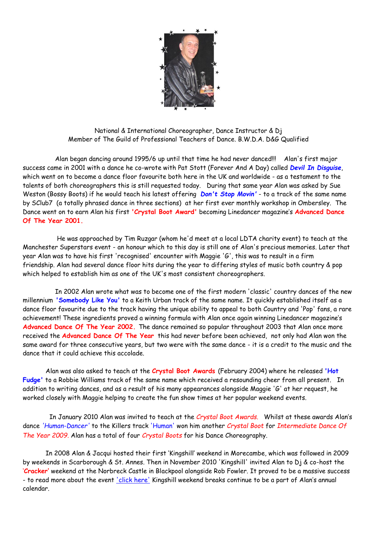

National & International Choreographer, Dance Instructor & Dj Member of The Guild of Professional Teachers of Dance. B.W.D.A. D&G Qualified

 Alan began dancing around 1995/6 up until that time he had never danced!!! Alan's first major success came in 2001 with a dance he co-wrote with Pat Stott (Forever And A Day) called *Devil In Disguise*, which went on to become a dance floor favourite both here in the UK and worldwide - as a testament to the talents of both choreographers this is still requested today. During that same year Alan was asked by Sue Weston (Bossy Boots) if he would teach his latest offering *Don't Stop Movin'* - to a track of the same name by SClub7 (a totally phrased dance in three sections) at her first ever monthly workshop in Ombersley. The Dance went on to earn Alan his first **'Crystal Boot Award'** becoming Linedancer magazine's **Advanced Dance Of The Year 2001.**

 He was approached by Tim Ruzgar (whom he'd meet at a local LDTA charity event) to teach at the Manchester Superstars event - an honour which to this day is still one of Alan's precious memories. Later that year Alan was to have his first 'recognised' encounter with Maggie 'G', this was to result in a firm friendship. Alan had several dance floor hits during the year to differing styles of music both country & pop which helped to establish him as one of the UK's most consistent choreographers.

 In 2002 Alan wrote what was to become one of the first modern 'classic' country dances of the new millennium **'Somebody Like You'** to a Keith Urban track of the same name. It quickly established itself as a dance floor favourite due to the track having the unique ability to appeal to both Country and 'Pop' fans, a rare achievement! These ingredients proved a winning formula with Alan once again winning Linedancer magazine's **Advanced Dance Of The Year 2002.** The dance remained so popular throughout 2003 that Alan once more received the **Advanced Dance Of The Year** this had never before been achieved, not only had Alan won the same award for three consecutive years, but two were with the same dance - it is a credit to the music and the dance that it could achieve this accolade.

Alan was also asked to teach at the **Crystal Boot Awards** (February 2004) where he released **'Hot Fudge'** to a Robbie Williams track of the same name which received a resounding cheer from all present.In addition to writing dances, and as a result of his many appearances alongside Maggie 'G' at her request, he worked closely with Maggie helping to create the fun show times at her popular weekend events.

 In January 2010 Alan was invited to teach at the *Crystal Boot Awards.* Whilst at these awards Alan's dance *'Human-Dancer'* to the Killers track 'Human' won him another *Crystal Boot* for *Intermediate Dance Of The Year 2009.* Alan has a total of four *Crystal Boots* for his Dance Choreography.

In 2008 Alan & Jacqui hosted their first 'Kingshill' weekend in Morecambe, which was followed in 2009 by weekends in Scarborough & St. Annes. Then in November 2010 'Kingshill' invited Alan to Dj & co-host the '**Cracker'** weekend at the Norbreck Castle in Blackpool alongside Rob Fowler. It proved to be a massive success - to read more about the event ['click here'](file:///E:/Alan/Documents/My%20Web%20Sites/Pdfs/Rob,%20Alan%20&%20The%20Cracker.pdf) Kingshill weekend breaks continue to be a part of Alan's annual calendar.